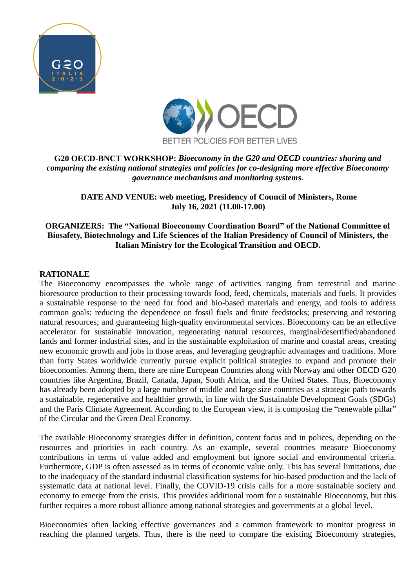



#### **G20 OECD-BNCT WORKSHOP:** *Bioeconomy in the G20 and OECD countries: sharing and comparing the existing national strategies and policies for co-designing more effective Bioeconomy governance mechanisms and monitoring systems.*

**DATE AND VENUE: web meeting, Presidency of Council of Ministers, Rome July 16, 2021 (11.00-17.00)**

#### **ORGANIZERS: The "National Bioeconomy Coordination Board" of the National Committee of Biosafety, Biotechnology and Life Sciences of the Italian Presidency of Council of Ministers, the Italian Ministry for the Ecological Transition and OECD.**

#### **RATIONALE**

The Bioeconomy encompasses the whole range of activities ranging from terrestrial and marine bioresource production to their processing towards food, feed, chemicals, materials and fuels. It provides a sustainable response to the need for food and bio-based materials and energy, and tools to address common goals: reducing the dependence on fossil fuels and finite feedstocks; preserving and restoring natural resources; and guaranteeing high-quality environmental services. Bioeconomy can be an effective accelerator for sustainable innovation, regenerating natural resources, marginal/desertified/abandoned lands and former industrial sites, and in the sustainable exploitation of marine and coastal areas, creating new economic growth and jobs in those areas, and leveraging geographic advantages and traditions. More than forty States worldwide currently pursue explicit political strategies to expand and promote their bioeconomies. Among them, there are nine European Countries along with Norway and other OECD G20 countries like Argentina, Brazil, Canada, Japan, South Africa, and the United States. Thus, Bioeconomy has already been adopted by a large number of middle and large size countries as a strategic path towards a sustainable, regenerative and healthier growth, in line with the Sustainable Development Goals (SDGs) and the Paris Climate Agreement. According to the European view, it is composing the "renewable pillar" of the Circular and the Green Deal Economy.

The available Bioeconomy strategies differ in definition, content focus and in polices, depending on the resources and priorities in each country. As an example, several countries measure Bioeconomy contributions in terms of value added and employment but ignore social and environmental criteria. Furthermore, GDP is often assessed as in terms of economic value only. This has several limitations, due to the inadequacy of the standard industrial classification systems for bio-based production and the lack of systematic data at national level. Finally, the COVID-19 crisis calls for a more sustainable society and economy to emerge from the crisis. This provides additional room for a sustainable Bioeconomy, but this further requires a more robust alliance among national strategies and governments at a global level.

Bioeconomies often lacking effective governances and a common framework to monitor progress in reaching the planned targets. Thus, there is the need to compare the existing Bioeconomy strategies,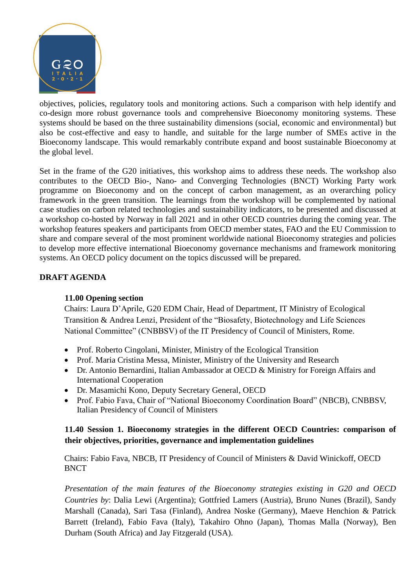

objectives, policies, regulatory tools and monitoring actions. Such a comparison with help identify and co-design more robust governance tools and comprehensive Bioeconomy monitoring systems. These systems should be based on the three sustainability dimensions (social, economic and environmental) but also be cost-effective and easy to handle, and suitable for the large number of SMEs active in the Bioeconomy landscape. This would remarkably contribute expand and boost sustainable Bioeconomy at the global level.

Set in the frame of the G20 initiatives, this workshop aims to address these needs. The workshop also contributes to the OECD Bio-, Nano- and Converging Technologies (BNCT) Working Party work programme on Bioeconomy and on the concept of carbon management, as an overarching policy framework in the green transition. The learnings from the workshop will be complemented by national case studies on carbon related technologies and sustainability indicators, to be presented and discussed at a workshop co-hosted by Norway in fall 2021 and in other OECD countries during the coming year. The workshop features speakers and participants from OECD member states, FAO and the EU Commission to share and compare several of the most prominent worldwide national Bioeconomy strategies and policies to develop more effective international Bioeconomy governance mechanisms and framework monitoring systems. An OECD policy document on the topics discussed will be prepared.

## **DRAFT AGENDA**

## **11.00 Opening section**

Chairs: Laura D'Aprile, G20 EDM Chair, Head of Department, IT Ministry of Ecological Transition & Andrea Lenzi, President of the "Biosafety, Biotechnology and Life Sciences National Committee" (CNBBSV) of the IT Presidency of Council of Ministers, Rome.

- Prof. Roberto Cingolani, Minister, Ministry of the Ecological Transition
- Prof. Maria Cristina Messa, Minister, Ministry of the University and Research
- Dr. Antonio Bernardini, Italian Ambassador at OECD & Ministry for Foreign Affairs and International Cooperation
- Dr. Masamichi Kono, Deputy Secretary General, OECD
- Prof. Fabio Fava, Chair of "National Bioeconomy Coordination Board" (NBCB), CNBBSV, Italian Presidency of Council of Ministers

## **11.40 Session 1. Bioeconomy strategies in the different OECD Countries: comparison of their objectives, priorities, governance and implementation guidelines**

Chairs: Fabio Fava, NBCB, IT Presidency of Council of Ministers & David Winickoff, OECD **BNCT** 

*Presentation of the main features of the Bioeconomy strategies existing in G20 and OECD Countries by*: Dalia Lewi (Argentina); Gottfried Lamers (Austria), Bruno Nunes (Brazil), Sandy Marshall (Canada), Sari Tasa (Finland), Andrea Noske (Germany), Maeve Henchion & Patrick Barrett (Ireland), Fabio Fava (Italy), Takahiro Ohno (Japan), Thomas Malla (Norway), Ben Durham (South Africa) and Jay Fitzgerald (USA).